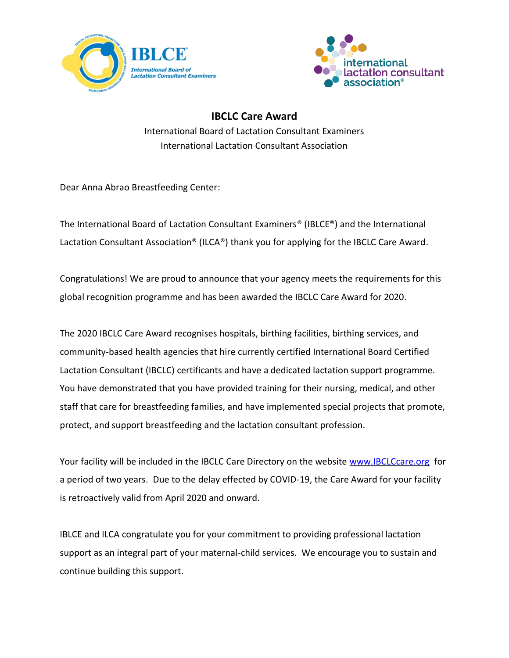



**IBCLC Care Award**  International Board of Lactation Consultant Examiners International Lactation Consultant Association

Dear Anna Abrao Breastfeeding Center:

The International Board of Lactation Consultant Examiners® (IBLCE®) and the International Lactation Consultant Association® (ILCA®) thank you for applying for the IBCLC Care Award.

Congratulations! We are proud to announce that your agency meets the requirements for this global recognition programme and has been awarded the IBCLC Care Award for 2020.

The 2020 IBCLC Care Award recognises hospitals, birthing facilities, birthing services, and community-based health agencies that hire currently certified International Board Certified Lactation Consultant (IBCLC) certificants and have a dedicated lactation support programme. You have demonstrated that you have provided training for their nursing, medical, and other staff that care for breastfeeding families, and have implemented special projects that promote, protect, and support breastfeeding and the lactation consultant profession.

Your facility will be included in the IBCLC Care Directory on the website www.IBCLCcare.org for a period of two years. Due to the delay effected by COVID-19, the Care Award for your facility is retroactively valid from April 2020 and onward.

IBLCE and ILCA congratulate you for your commitment to providing professional lactation support as an integral part of your maternal-child services. We encourage you to sustain and continue building this support.